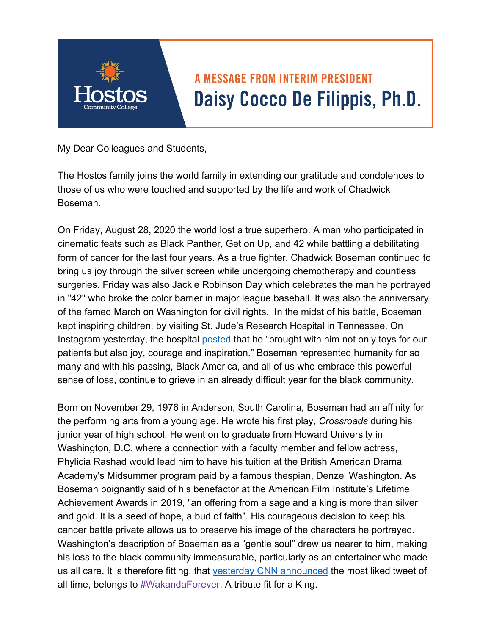

## **A MESSAGE FROM INTERIM PRESIDENT** Daisy Cocco De Filippis, Ph.D.

My Dear Colleagues and Students,

The Hostos family joins the world family in extending our gratitude and condolences to those of us who were touched and supported by the life and work of Chadwick Boseman.

On Friday, August 28, 2020 the world lost a true superhero. A man who participated in cinematic feats such as Black Panther, Get on Up, and 42 while battling a debilitating form of cancer for the last four years. As a true fighter, Chadwick Boseman continued to bring us joy through the silver screen while undergoing chemotherapy and countless surgeries. Friday was also Jackie Robinson Day which celebrates the man he portrayed in "42" who broke the color barrier in major league baseball. It was also the anniversary of the famed March on Washington for civil rights. In the midst of his battle, Boseman kept inspiring children, by visiting St. Jude's Research Hospital in Tennessee. On Instagram yesterday, the hospital posted that he "brought with him not only toys for our patients but also joy, courage and inspiration." Boseman represented humanity for so many and with his passing, Black America, and all of us who embrace this powerful sense of loss, continue to grieve in an already difficult year for the black community.

Born on November 29, 1976 in Anderson, South Carolina, Boseman had an affinity for the performing arts from a young age. He wrote his first play, *Crossroads* during his junior year of high school. He went on to graduate from Howard University in Washington, D.C. where a connection with a faculty member and fellow actress, Phylicia Rashad would lead him to have his tuition at the British American Drama Academy's Midsummer program paid by a famous thespian, Denzel Washington. As Boseman poignantly said of his benefactor at the American Film Institute's Lifetime Achievement Awards in 2019, "an offering from a sage and a king is more than silver and gold. It is a seed of hope, a bud of faith". His courageous decision to keep his cancer battle private allows us to preserve his image of the characters he portrayed. Washington's description of Boseman as a "gentle soul" drew us nearer to him, making his loss to the black community immeasurable, particularly as an entertainer who made us all care. It is therefore fitting, that yesterday CNN announced the most liked tweet of all time, belongs to #WakandaForever. A tribute fit for a King.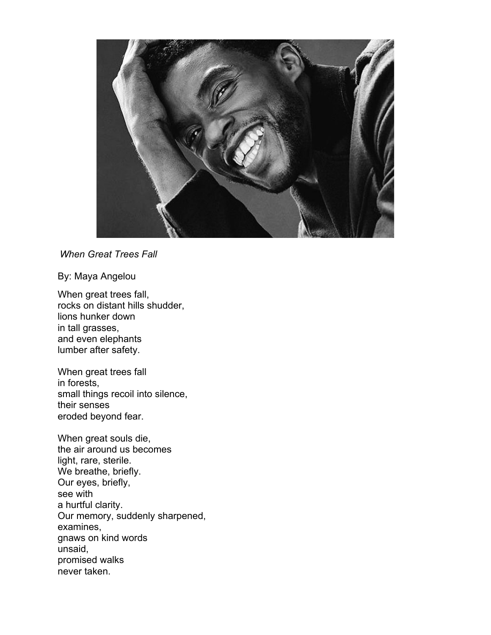

*When Great Trees Fall* 

By: Maya Angelou

When great trees fall, rocks on distant hills shudder, lions hunker down in tall grasses, and even elephants lumber after safety.

When great trees fall in forests, small things recoil into silence, their senses eroded beyond fear.

When great souls die, the air around us becomes light, rare, sterile. We breathe, briefly. Our eyes, briefly, see with a hurtful clarity. Our memory, suddenly sharpened, examines, gnaws on kind words unsaid, promised walks never taken.